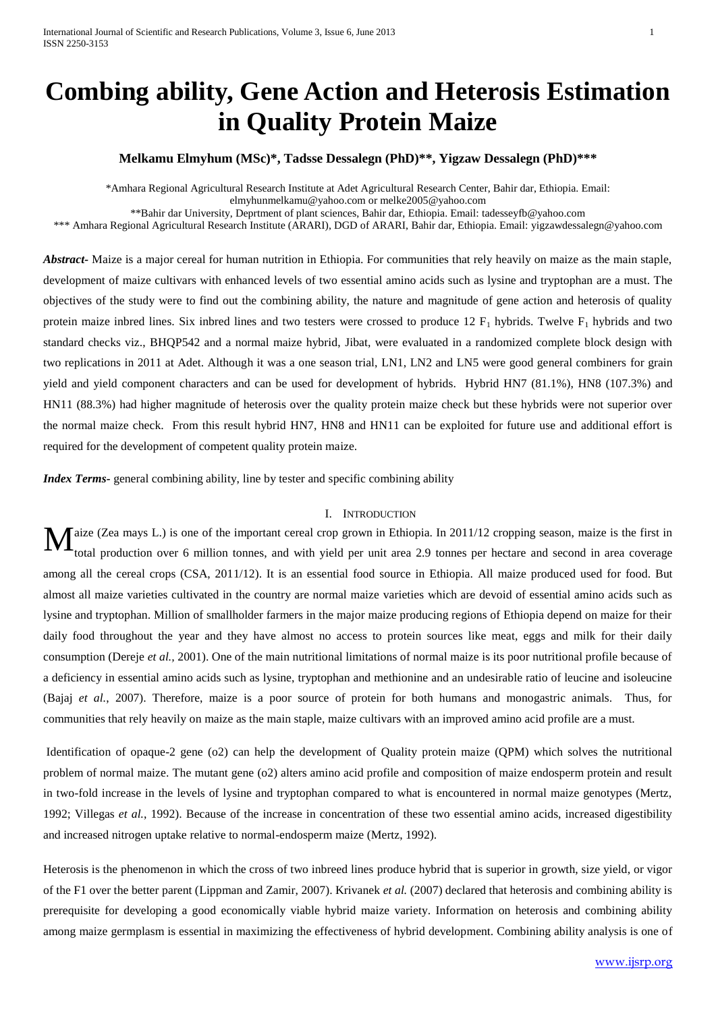# **Combing ability, Gene Action and Heterosis Estimation in Quality Protein Maize**

**Melkamu Elmyhum (MSc)\*, Tadsse Dessalegn (PhD)\*\*, Yigzaw Dessalegn (PhD)\*\*\***

\*Amhara Regional Agricultural Research Institute at Adet Agricultural Research Center, Bahir dar, Ethiopia. Email: [elmyhunmelkamu@yahoo.com](mailto:elmyhunmelkamu@yahoo.com) or [melke2005@yahoo.com](mailto:melke2005@yahoo.com)

\*\*Bahir dar University, Deprtment of plant sciences, Bahir dar, Ethiopia. Email: [tadesseyfb@yahoo.com](mailto:tadesseyfb@yahoo.com)

\*\*\* Amhara Regional Agricultural Research Institute (ARARI), DGD of ARARI, Bahir dar, Ethiopia. Email: [yigzawdessalegn@yahoo.com](mailto:yigzawdessalegn@yahoo.com)

*Abstract-* Maize is a major cereal for human nutrition in Ethiopia. For communities that rely heavily on maize as the main staple, development of maize cultivars with enhanced levels of two essential amino acids such as lysine and tryptophan are a must. The objectives of the study were to find out the combining ability, the nature and magnitude of gene action and heterosis of quality protein maize inbred lines. Six inbred lines and two testers were crossed to produce 12  $F_1$  hybrids. Twelve  $F_1$  hybrids and two standard checks viz., BHQP542 and a normal maize hybrid, Jibat, were evaluated in a randomized complete block design with two replications in 2011 at Adet. Although it was a one season trial, LN1, LN2 and LN5 were good general combiners for grain yield and yield component characters and can be used for development of hybrids. Hybrid HN7 (81.1%), HN8 (107.3%) and HN11 (88.3%) had higher magnitude of heterosis over the quality protein maize check but these hybrids were not superior over the normal maize check. From this result hybrid HN7, HN8 and HN11 can be exploited for future use and additional effort is required for the development of competent quality protein maize.

*Index Terms*- general combining ability, line by tester and specific combining ability

#### I. INTRODUCTION

aize (Zea mays L.) is one of the important cereal crop grown in Ethiopia. In 2011/12 cropping season, maize is the first in total production over 6 million tonnes, and with yield per unit area 2.9 tonnes per hectare and second in area coverage among all the cereal crops (CSA, 2011/12). It is an essential food source in Ethiopia. All maize produced used for food. But almost all maize varieties cultivated in the country are normal maize varieties which are devoid of essential amino acids such as lysine and tryptophan. Million of smallholder farmers in the major maize producing regions of Ethiopia depend on maize for their daily food throughout the year and they have almost no access to protein sources like meat, eggs and milk for their daily consumption (Dereje *et al.,* 2001). One of the main nutritional limitations of normal maize is its poor nutritional profile because of a deficiency in essential amino acids such as lysine, tryptophan and methionine and an undesirable ratio of leucine and isoleucine (Bajaj *et al.*, 2007). Therefore, maize is a poor source of protein for both humans and monogastric animals. Thus, for communities that rely heavily on maize as the main staple, maize cultivars with an improved amino acid profile are a must. M

Identification of opaque-2 gene (o2) can help the development of Quality protein maize (QPM) which solves the nutritional problem of normal maize. The mutant gene (o2) alters amino acid profile and composition of maize endosperm protein and result in two-fold increase in the levels of lysine and tryptophan compared to what is encountered in normal maize genotypes (Mertz, 1992; Villegas *et al.*, 1992). Because of the increase in concentration of these two essential amino acids, increased digestibility and increased nitrogen uptake relative to normal-endosperm maize (Mertz, 1992).

Heterosis is the phenomenon in which the cross of two inbreed lines produce hybrid that is superior in growth, size yield, or vigor of the F1 over the better parent (Lippman and Zamir, 2007). Krivanek *et al.* (2007) declared that heterosis and combining ability is prerequisite for developing a good economically viable hybrid maize variety. Information on heterosis and combining ability among maize germplasm is essential in maximizing the effectiveness of hybrid development. Combining ability analysis is one of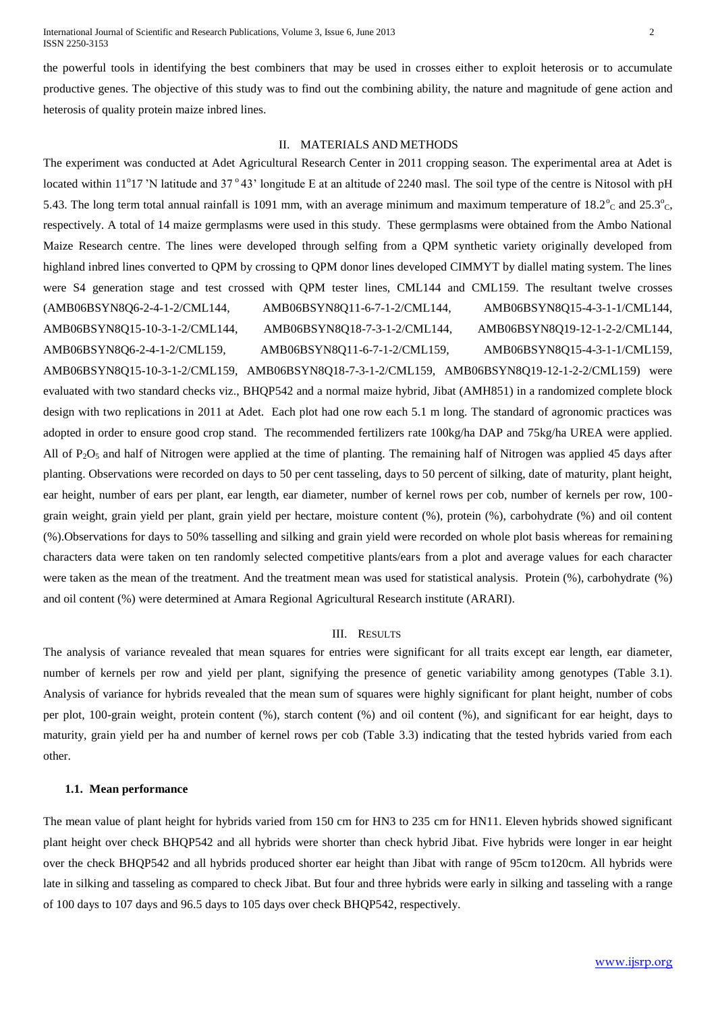International Journal of Scientific and Research Publications, Volume 3, Issue 6, June 2013 2 ISSN 2250-3153

the powerful tools in identifying the best combiners that may be used in crosses either to exploit heterosis or to accumulate productive genes. The objective of this study was to find out the combining ability, the nature and magnitude of gene action and heterosis of quality protein maize inbred lines.

## II. MATERIALS AND METHODS

The experiment was conducted at Adet Agricultural Research Center in 2011 cropping season. The experimental area at Adet is located within 11°17 'N latitude and 37°43' longitude E at an altitude of 2240 masl. The soil type of the centre is Nitosol with pH 5.43. The long term total annual rainfall is 1091 mm, with an average minimum and maximum temperature of  $18.2^\circ$ <sub>C</sub> and  $25.3^\circ$ <sub>C</sub>, respectively. A total of 14 maize germplasms were used in this study. These germplasms were obtained from the Ambo National Maize Research centre. The lines were developed through selfing from a QPM synthetic variety originally developed from highland inbred lines converted to QPM by crossing to QPM donor lines developed CIMMYT by diallel mating system. The lines were S4 generation stage and test crossed with QPM tester lines, CML144 and CML159. The resultant twelve crosses (AMB06BSYN8Q6-2-4-1-2/CML144, AMB06BSYN8Q11-6-7-1-2/CML144, AMB06BSYN8Q15-4-3-1-1/CML144, AMB06BSYN8Q15-10-3-1-2/CML144, AMB06BSYN8Q18-7-3-1-2/CML144, AMB06BSYN8Q19-12-1-2-2/CML144, AMB06BSYN8Q6-2-4-1-2/CML159, AMB06BSYN8Q11-6-7-1-2/CML159, AMB06BSYN8Q15-4-3-1-1/CML159, AMB06BSYN8Q15-10-3-1-2/CML159, AMB06BSYN8Q18-7-3-1-2/CML159, AMB06BSYN8Q19-12-1-2-2/CML159) were evaluated with two standard checks viz., BHQP542 and a normal maize hybrid, Jibat (AMH851) in a randomized complete block design with two replications in 2011 at Adet. Each plot had one row each 5.1 m long. The standard of agronomic practices was adopted in order to ensure good crop stand. The recommended fertilizers rate 100kg/ha DAP and 75kg/ha UREA were applied. All of  $P_2O_5$  and half of Nitrogen were applied at the time of planting. The remaining half of Nitrogen was applied 45 days after planting. Observations were recorded on days to 50 per cent tasseling, days to 50 percent of silking, date of maturity, plant height, ear height, number of ears per plant, ear length, ear diameter, number of kernel rows per cob, number of kernels per row, 100 grain weight, grain yield per plant, grain yield per hectare, moisture content (%), protein (%), carbohydrate (%) and oil content (%).Observations for days to 50% tasselling and silking and grain yield were recorded on whole plot basis whereas for remaining characters data were taken on ten randomly selected competitive plants/ears from a plot and average values for each character were taken as the mean of the treatment. And the treatment mean was used for statistical analysis. Protein (%), carbohydrate (%) and oil content (%) were determined at Amara Regional Agricultural Research institute (ARARI).

#### III. RESULTS

The analysis of variance revealed that mean squares for entries were significant for all traits except ear length, ear diameter, number of kernels per row and yield per plant, signifying the presence of genetic variability among genotypes (Table 3.1). Analysis of variance for hybrids revealed that the mean sum of squares were highly significant for plant height, number of cobs per plot, 100-grain weight, protein content (%), starch content (%) and oil content (%), and significant for ear height, days to maturity, grain yield per ha and number of kernel rows per cob (Table 3.3) indicating that the tested hybrids varied from each other.

#### **1.1. Mean performance**

The mean value of plant height for hybrids varied from 150 cm for HN3 to 235 cm for HN11. Eleven hybrids showed significant plant height over check BHQP542 and all hybrids were shorter than check hybrid Jibat. Five hybrids were longer in ear height over the check BHQP542 and all hybrids produced shorter ear height than Jibat with range of 95cm to120cm. All hybrids were late in silking and tasseling as compared to check Jibat. But four and three hybrids were early in silking and tasseling with a range of 100 days to 107 days and 96.5 days to 105 days over check BHQP542, respectively.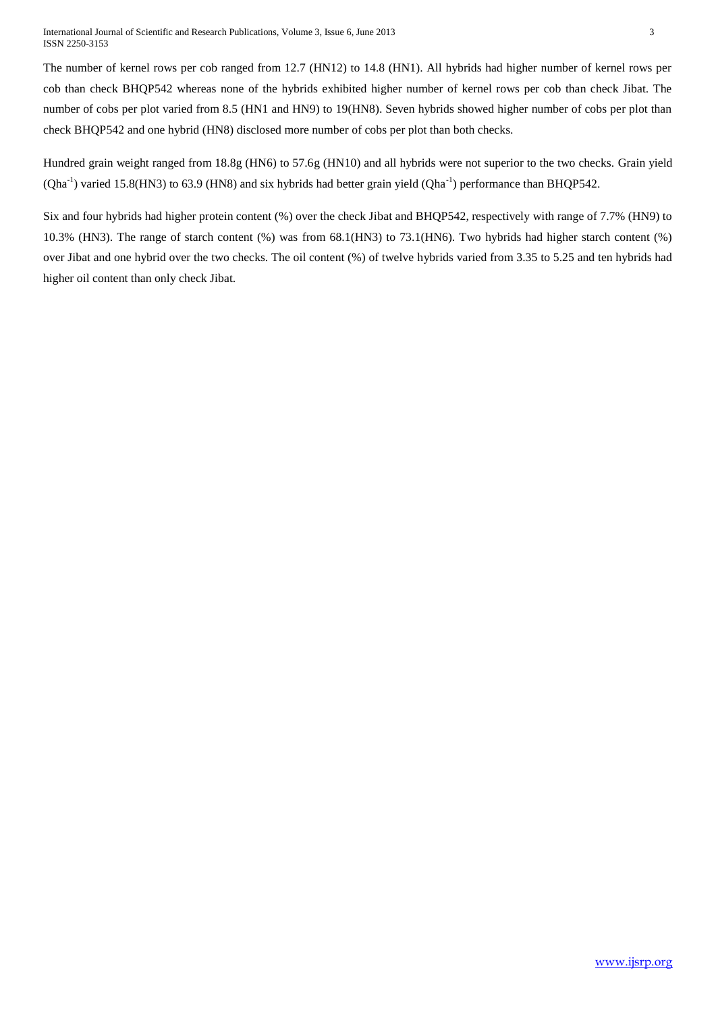The number of kernel rows per cob ranged from 12.7 (HN12) to 14.8 (HN1). All hybrids had higher number of kernel rows per cob than check BHQP542 whereas none of the hybrids exhibited higher number of kernel rows per cob than check Jibat. The number of cobs per plot varied from 8.5 (HN1 and HN9) to 19(HN8). Seven hybrids showed higher number of cobs per plot than check BHQP542 and one hybrid (HN8) disclosed more number of cobs per plot than both checks.

Hundred grain weight ranged from 18.8g (HN6) to 57.6g (HN10) and all hybrids were not superior to the two checks. Grain yield  $(Qha<sup>-1</sup>)$  varied 15.8(HN3) to 63.9 (HN8) and six hybrids had better grain yield  $(Qha<sup>-1</sup>)$  performance than BHQP542.

Six and four hybrids had higher protein content (%) over the check Jibat and BHQP542, respectively with range of 7.7% (HN9) to 10.3% (HN3). The range of starch content (%) was from 68.1(HN3) to 73.1(HN6). Two hybrids had higher starch content (%) over Jibat and one hybrid over the two checks. The oil content (%) of twelve hybrids varied from 3.35 to 5.25 and ten hybrids had higher oil content than only check Jibat.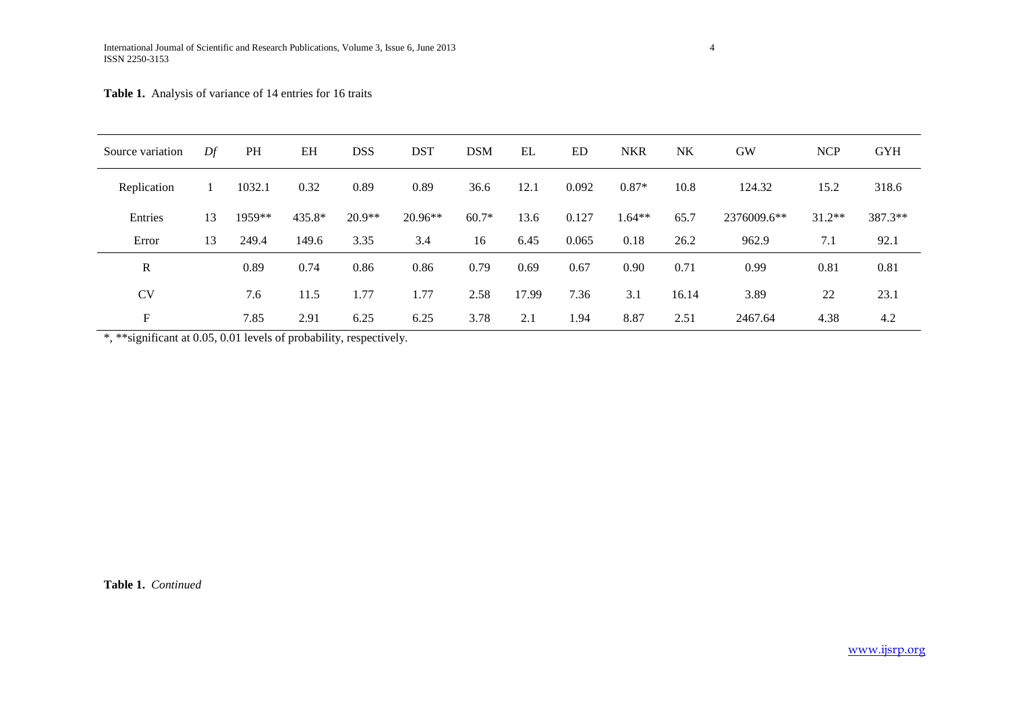# **Table 1.** Analysis of variance of 14 entries for 16 traits

| Source variation | Df | <b>PH</b> | EH     | <b>DSS</b> | <b>DST</b> | <b>DSM</b> | EL    | <b>ED</b> | <b>NKR</b> | <b>NK</b> | <b>GW</b>   | <b>NCP</b> | <b>GYH</b> |
|------------------|----|-----------|--------|------------|------------|------------|-------|-----------|------------|-----------|-------------|------------|------------|
| Replication      | 1  | 1032.1    | 0.32   | 0.89       | 0.89       | 36.6       | 12.1  | 0.092     | $0.87*$    | 10.8      | 124.32      | 15.2       | 318.6      |
| Entries          | 13 | $1959**$  | 435.8* | $20.9**$   | $20.96**$  | $60.7*$    | 13.6  | 0.127     | $1.64**$   | 65.7      | 2376009.6** | $31.2**$   | 387.3**    |
| Error            | 13 | 249.4     | 149.6  | 3.35       | 3.4        | 16         | 6.45  | 0.065     | 0.18       | 26.2      | 962.9       | 7.1        | 92.1       |
| $\mathbf R$      |    | 0.89      | 0.74   | 0.86       | 0.86       | 0.79       | 0.69  | 0.67      | 0.90       | 0.71      | 0.99        | 0.81       | 0.81       |
| <b>CV</b>        |    | 7.6       | 11.5   | 1.77       | 1.77       | 2.58       | 17.99 | 7.36      | 3.1        | 16.14     | 3.89        | 22         | 23.1       |
| F                |    | 7.85      | 2.91   | 6.25       | 6.25       | 3.78       | 2.1   | 1.94      | 8.87       | 2.51      | 2467.64     | 4.38       | 4.2        |

\*, \*\*significant at 0.05, 0.01 levels of probability, respectively.

**Table 1.** *Continued*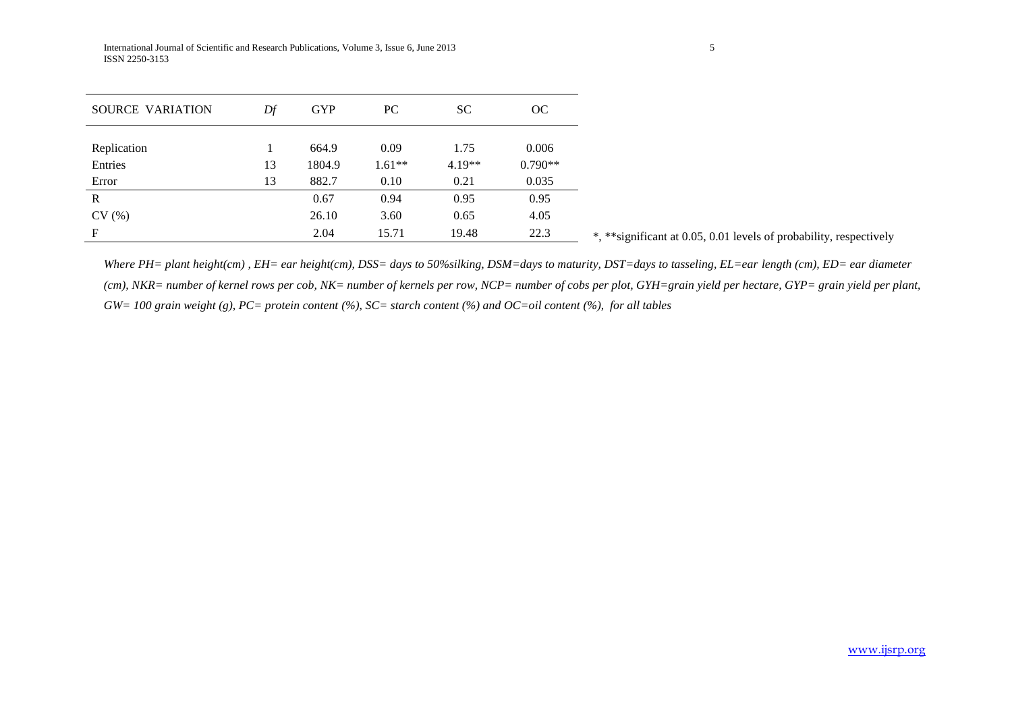| SOURCE VARIATION | Df | <b>GYP</b> | PC       | <b>SC</b> | OC        |                                                                     |
|------------------|----|------------|----------|-----------|-----------|---------------------------------------------------------------------|
| Replication      |    | 664.9      | 0.09     | 1.75      | 0.006     |                                                                     |
| Entries          | 13 | 1804.9     | $1.61**$ | $4.19**$  | $0.790**$ |                                                                     |
| Error            | 13 | 882.7      | 0.10     | 0.21      | 0.035     |                                                                     |
| $\mathbb{R}$     |    | 0.67       | 0.94     | 0.95      | 0.95      |                                                                     |
| CV(%)            |    | 26.10      | 3.60     | 0.65      | 4.05      |                                                                     |
| F                |    | 2.04       | 15.71    | 19.48     | 22.3      | *, ** significant at 0.05, 0.01 levels of probability, respectively |

*Where PH= plant height(cm) , EH= ear height(cm), DSS= days to 50%silking, DSM=days to maturity, DST=days to tasseling, EL=ear length (cm), ED= ear diameter (cm), NKR= number of kernel rows per cob, NK= number of kernels per row, NCP= number of cobs per plot, GYH=grain yield per hectare, GYP= grain yield per plant, GW= 100 grain weight (g), PC= protein content (%), SC= starch content (%) and OC=oil content (%), for all tables*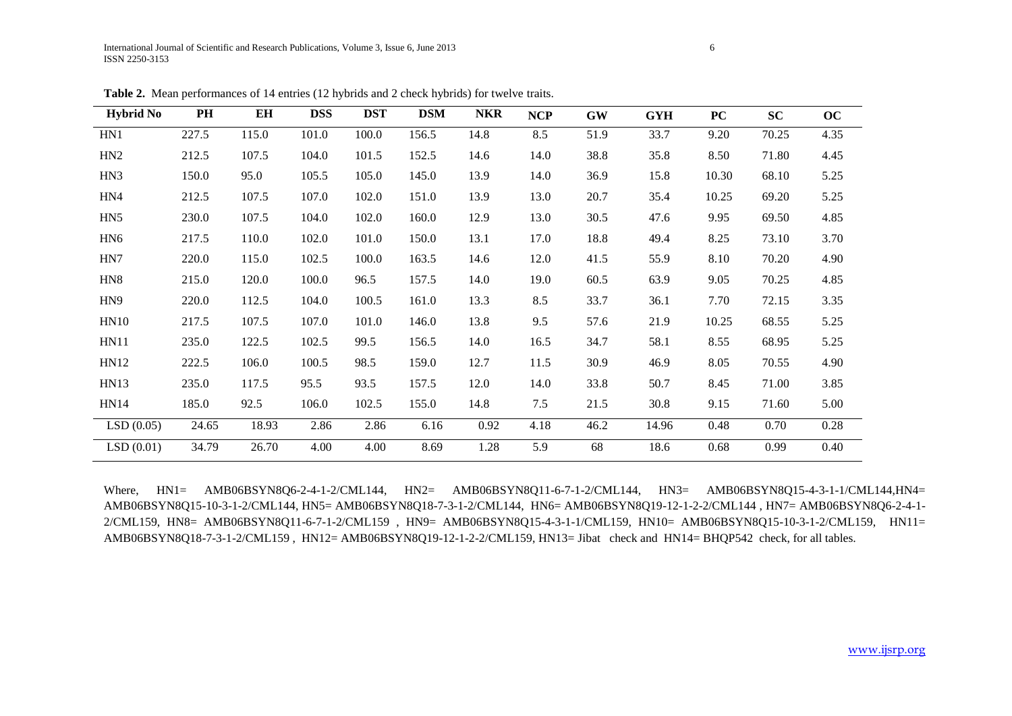| <b>Hybrid No</b> | PH    | EH    | <b>DSS</b> | <b>DST</b> | <b>DSM</b> | <b>NKR</b> | <b>NCP</b> | <b>GW</b> | <b>GYH</b> | PC    | <b>SC</b> | oc   |
|------------------|-------|-------|------------|------------|------------|------------|------------|-----------|------------|-------|-----------|------|
| HN1              | 227.5 | 115.0 | 101.0      | 100.0      | 156.5      | 14.8       | 8.5        | 51.9      | 33.7       | 9.20  | 70.25     | 4.35 |
| HN2              | 212.5 | 107.5 | 104.0      | 101.5      | 152.5      | 14.6       | 14.0       | 38.8      | 35.8       | 8.50  | 71.80     | 4.45 |
| HN3              | 150.0 | 95.0  | 105.5      | 105.0      | 145.0      | 13.9       | 14.0       | 36.9      | 15.8       | 10.30 | 68.10     | 5.25 |
| HN4              | 212.5 | 107.5 | 107.0      | 102.0      | 151.0      | 13.9       | 13.0       | 20.7      | 35.4       | 10.25 | 69.20     | 5.25 |
| HN <sub>5</sub>  | 230.0 | 107.5 | 104.0      | 102.0      | 160.0      | 12.9       | 13.0       | 30.5      | 47.6       | 9.95  | 69.50     | 4.85 |
| HN <sub>6</sub>  | 217.5 | 110.0 | 102.0      | 101.0      | 150.0      | 13.1       | 17.0       | 18.8      | 49.4       | 8.25  | 73.10     | 3.70 |
| HN7              | 220.0 | 115.0 | 102.5      | 100.0      | 163.5      | 14.6       | 12.0       | 41.5      | 55.9       | 8.10  | 70.20     | 4.90 |
| HN <sub>8</sub>  | 215.0 | 120.0 | 100.0      | 96.5       | 157.5      | 14.0       | 19.0       | 60.5      | 63.9       | 9.05  | 70.25     | 4.85 |
| HN <sub>9</sub>  | 220.0 | 112.5 | 104.0      | 100.5      | 161.0      | 13.3       | 8.5        | 33.7      | 36.1       | 7.70  | 72.15     | 3.35 |
| HN10             | 217.5 | 107.5 | 107.0      | 101.0      | 146.0      | 13.8       | 9.5        | 57.6      | 21.9       | 10.25 | 68.55     | 5.25 |
| <b>HN11</b>      | 235.0 | 122.5 | 102.5      | 99.5       | 156.5      | 14.0       | 16.5       | 34.7      | 58.1       | 8.55  | 68.95     | 5.25 |
| HN12             | 222.5 | 106.0 | 100.5      | 98.5       | 159.0      | 12.7       | 11.5       | 30.9      | 46.9       | 8.05  | 70.55     | 4.90 |
| <b>HN13</b>      | 235.0 | 117.5 | 95.5       | 93.5       | 157.5      | 12.0       | 14.0       | 33.8      | 50.7       | 8.45  | 71.00     | 3.85 |
| <b>HN14</b>      | 185.0 | 92.5  | 106.0      | 102.5      | 155.0      | 14.8       | 7.5        | 21.5      | 30.8       | 9.15  | 71.60     | 5.00 |
| LSD(0.05)        | 24.65 | 18.93 | 2.86       | 2.86       | 6.16       | 0.92       | 4.18       | 46.2      | 14.96      | 0.48  | 0.70      | 0.28 |
| LSD(0.01)        | 34.79 | 26.70 | 4.00       | 4.00       | 8.69       | 1.28       | 5.9        | 68        | 18.6       | 0.68  | 0.99      | 0.40 |

**Table 2.** Mean performances of 14 entries (12 hybrids and 2 check hybrids) for twelve traits.

Where, HN1= AMB06BSYN8Q6-2-4-1-2/CML144, HN2= AMB06BSYN8Q11-6-7-1-2/CML144, HN3= AMB06BSYN8Q15-4-3-1-1/CML144,HN4= AMB06BSYN8Q15-10-3-1-2/CML144, HN5= AMB06BSYN8Q18-7-3-1-2/CML144, HN6= AMB06BSYN8Q19-12-1-2-2/CML144 , HN7= AMB06BSYN8Q6-2-4-1- 2/CML159, HN8= AMB06BSYN8Q11-6-7-1-2/CML159 , HN9= AMB06BSYN8Q15-4-3-1-1/CML159, HN10= AMB06BSYN8Q15-10-3-1-2/CML159, HN11= AMB06BSYN8Q18-7-3-1-2/CML159 , HN12= AMB06BSYN8Q19-12-1-2-2/CML159, HN13= Jibat check and HN14= BHQP542 check, for all tables.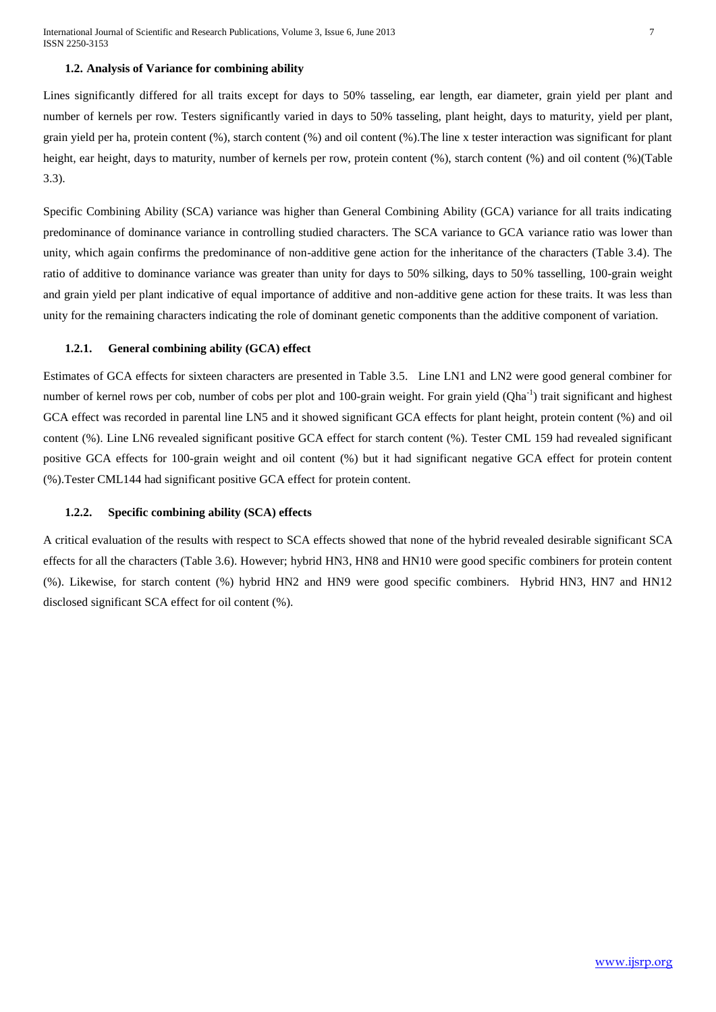## **1.2. Analysis of Variance for combining ability**

Lines significantly differed for all traits except for days to 50% tasseling, ear length, ear diameter, grain yield per plant and number of kernels per row. Testers significantly varied in days to 50% tasseling, plant height, days to maturity, yield per plant, grain yield per ha, protein content (%), starch content (%) and oil content (%).The line x tester interaction was significant for plant height, ear height, days to maturity, number of kernels per row, protein content (%), starch content (%) and oil content (%)(Table 3.3).

Specific Combining Ability (SCA) variance was higher than General Combining Ability (GCA) variance for all traits indicating predominance of dominance variance in controlling studied characters. The SCA variance to GCA variance ratio was lower than unity, which again confirms the predominance of non-additive gene action for the inheritance of the characters (Table 3.4). The ratio of additive to dominance variance was greater than unity for days to 50% silking, days to 50% tasselling, 100-grain weight and grain yield per plant indicative of equal importance of additive and non-additive gene action for these traits. It was less than unity for the remaining characters indicating the role of dominant genetic components than the additive component of variation.

## **1.2.1. General combining ability (GCA) effect**

Estimates of GCA effects for sixteen characters are presented in Table 3.5. Line LN1 and LN2 were good general combiner for number of kernel rows per cob, number of cobs per plot and 100-grain weight. For grain yield (Qha<sup>-1</sup>) trait significant and highest GCA effect was recorded in parental line LN5 and it showed significant GCA effects for plant height, protein content (%) and oil content (%). Line LN6 revealed significant positive GCA effect for starch content (%). Tester CML 159 had revealed significant positive GCA effects for 100-grain weight and oil content (%) but it had significant negative GCA effect for protein content (%).Tester CML144 had significant positive GCA effect for protein content.

#### **1.2.2. Specific combining ability (SCA) effects**

A critical evaluation of the results with respect to SCA effects showed that none of the hybrid revealed desirable significant SCA effects for all the characters (Table 3.6). However; hybrid HN3, HN8 and HN10 were good specific combiners for protein content (%). Likewise, for starch content (%) hybrid HN2 and HN9 were good specific combiners. Hybrid HN3, HN7 and HN12 disclosed significant SCA effect for oil content (%).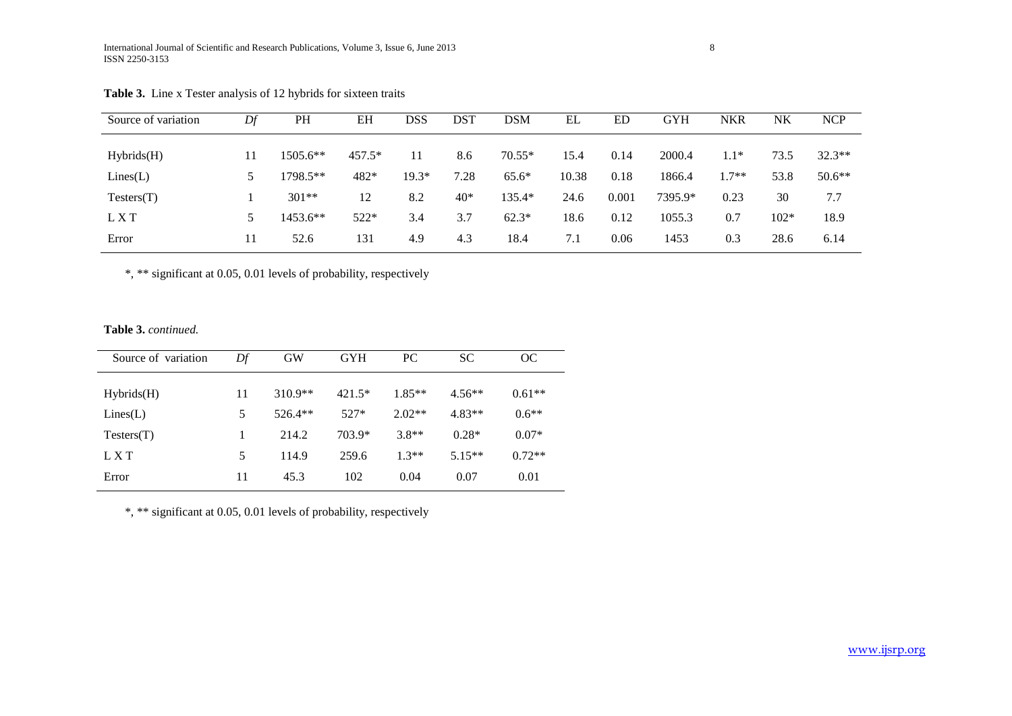| Source of variation | Df            | PH         | EH       | DSS     | <b>DST</b> | <b>DSM</b> | EL    | ED    | <b>GYH</b> | <b>NKR</b> | NK     | <b>NCP</b> |
|---------------------|---------------|------------|----------|---------|------------|------------|-------|-------|------------|------------|--------|------------|
| Hybrids(H)          |               | $1505.6**$ | $457.5*$ | 11      | 8.6        | $70.55*$   | 15.4  | 0.14  | 2000.4     | $1.1*$     | 73.5   | $32.3**$   |
| Lines(L)            | $\mathcal{D}$ | 1798.5**   | 482*     | $19.3*$ | 7.28       | $65.6*$    | 10.38 | 0.18  | 1866.4     | $1.7**$    | 53.8   | $50.6**$   |
| Testers(T)          |               | $301**$    | 12       | 8.2     | $40*$      | 135.4*     | 24.6  | 0.001 | 7395.9*    | 0.23       | 30     | 7.7        |
| L X T               | 5.            | $1453.6**$ | $522*$   | 3.4     | 3.7        | $62.3*$    | 18.6  | 0.12  | 1055.3     | 0.7        | $102*$ | 18.9       |
| Error               |               | 52.6       | 131      | 4.9     | 4.3        | 18.4       | 7.1   | 0.06  | 1453       | 0.3        | 28.6   | 6.14       |

| <b>Table 3.</b> Line x Tester analysis of 12 hybrids for sixteen traits |  |  |  |  |  |  |  |  |
|-------------------------------------------------------------------------|--|--|--|--|--|--|--|--|
|-------------------------------------------------------------------------|--|--|--|--|--|--|--|--|

\*, \*\* significant at 0.05, 0.01 levels of probability, respectively

**Table 3.** *continued.*

| Source of variation | Df | <b>GW</b> | <b>GYH</b> | PC       | SC.      | OC       |
|---------------------|----|-----------|------------|----------|----------|----------|
| Hybrids(H)          | 11 | $310.9**$ | $421.5*$   | $1.85**$ | $4.56**$ | $0.61**$ |
| Lines(L)            | 5  | $526.4**$ | $527*$     | $2.02**$ | $4.83**$ | $0.6**$  |
| Testers(T)          |    | 214.2     | 703.9*     | $3.8**$  | $0.28*$  | $0.07*$  |
| L X T               | 5  | 114.9     | 259.6      | $1.3**$  | $5.15**$ | $0.72**$ |
| Error               | 11 | 45.3      | 102        | 0.04     | 0.07     | 0.01     |

\*, \*\* significant at 0.05, 0.01 levels of probability, respectively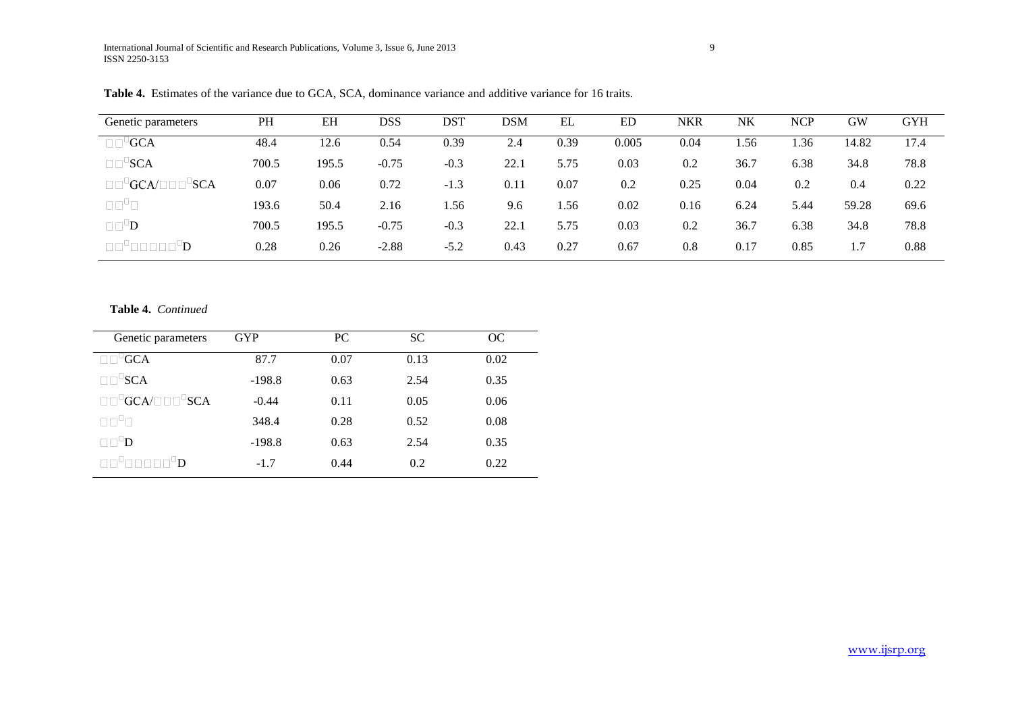| Genetic parameters                                  | PH    | EH    | DSS     | DST    | DSM  | EL   | ED    | <b>NKR</b> | NK   | <b>NCP</b> | GW    | <b>GYH</b> |
|-----------------------------------------------------|-------|-------|---------|--------|------|------|-------|------------|------|------------|-------|------------|
| $\mathsf{GCA}$<br>$\Box$ $\Box$                     | 48.4  | 12.6  | 0.54    | 0.39   | 2.4  | 0.39 | 0.005 | 0.04       | .56  | 1.36       | 14.82 | 17.4       |
| $\square \square^{\sqcup}$ SCA                      | 700.5 | 195.5 | $-0.75$ | $-0.3$ | 22.1 | 5.75 | 0.03  | 0.2        | 36.7 | 6.38       | 34.8  | 78.8       |
| $\mathsf{GCA}/\square$<br><b>SCA</b><br>$\Box \Box$ | 0.07  | 0.06  | 0.72    | $-1.3$ | 0.11 | 0.07 | 0.2   | 0.25       | 0.04 | 0.2        | 0.4   | 0.22       |
| $\Box\Box^D\Box$                                    | 193.6 | 50.4  | 2.16    | 1.56   | 9.6  | 1.56 | 0.02  | 0.16       | 6.24 | 5.44       | 59.28 | 69.6       |
| $\square \square^{\square}$                         | 700.5 | 195.5 | $-0.75$ | $-0.3$ | 22.1 | 5.75 | 0.03  | 0.2        | 36.7 | 6.38       | 34.8  | 78.8       |
| $\Box$                                              | 0.28  | 0.26  | $-2.88$ | $-5.2$ | 0.43 | 0.27 | 0.67  | 0.8        | 0.17 | 0.85       | 1.7   | 0.88       |

**Table 4.** Estimates of the variance due to GCA, SCA, dominance variance and additive variance for 16 traits.

# **Table 4.** *Continued*

| Genetic parameters                           | <b>GYP</b> | PC.  | <b>SC</b> | OC   |
|----------------------------------------------|------------|------|-----------|------|
| $-GCA$                                       | 87.7       | 0.07 | 0.13      | 0.02 |
| USCA                                         | $-198.8$   | 0.63 | 2.54      | 0.35 |
| $\Box$ <sup>D</sup> GCA/ $\Box$ D $\Box$ SCA | $-0.44$    | 0.11 | 0.05      | 0.06 |
| N N H N                                      | 348.4      | 0.28 | 0.52      | 0.08 |
| ⊡D                                           | $-198.8$   | 0.63 | 2.54      | 0.35 |
| ח⊔                                           | $-1.7$     | 0.44 | 0.2       | 0.22 |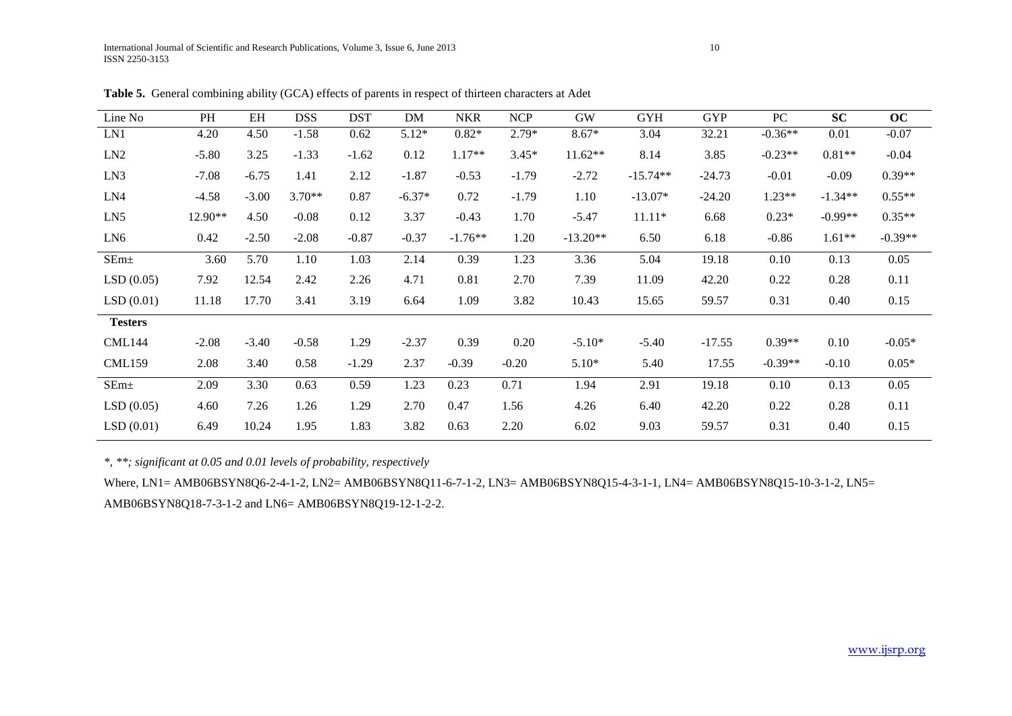| Line No          | PH      | EH      | <b>DSS</b> | <b>DST</b> | DM       | <b>NKR</b> | <b>NCP</b> | <b>GW</b>  | <b>GYH</b> | <b>GYP</b> | PC        | <b>SC</b> | OC        |
|------------------|---------|---------|------------|------------|----------|------------|------------|------------|------------|------------|-----------|-----------|-----------|
| LN1              | 4.20    | 4.50    | $-1.58$    | 0.62       | $5.12*$  | $0.82*$    | $2.79*$    | $8.67*$    | 3.04       | 32.21      | $-0.36**$ | 0.01      | $-0.07$   |
| LN2              | $-5.80$ | 3.25    | $-1.33$    | $-1.62$    | 0.12     | $1.17**$   | $3.45*$    | $11.62**$  | 8.14       | 3.85       | $-0.23**$ | $0.81**$  | $-0.04$   |
| LN3              | $-7.08$ | $-6.75$ | 1.41       | 2.12       | $-1.87$  | $-0.53$    | $-1.79$    | $-2.72$    | $-15.74**$ | $-24.73$   | $-0.01$   | $-0.09$   | $0.39**$  |
| LN4              | $-4.58$ | $-3.00$ | $3.70**$   | 0.87       | $-6.37*$ | 0.72       | $-1.79$    | 1.10       | $-13.07*$  | $-24.20$   | $1.23**$  | $-1.34**$ | $0.55**$  |
| LN5              | 12.90** | 4.50    | $-0.08$    | 0.12       | 3.37     | $-0.43$    | 1.70       | $-5.47$    | $11.11*$   | 6.68       | $0.23*$   | $-0.99**$ | $0.35**$  |
| LN <sub>6</sub>  | 0.42    | $-2.50$ | $-2.08$    | $-0.87$    | $-0.37$  | $-1.76**$  | 1.20       | $-13.20**$ | 6.50       | 6.18       | $-0.86$   | $1.61**$  | $-0.39**$ |
| SEm <sub>±</sub> | 3.60    | 5.70    | 1.10       | 1.03       | 2.14     | 0.39       | 1.23       | 3.36       | 5.04       | 19.18      | 0.10      | 0.13      | 0.05      |
| LSD(0.05)        | 7.92    | 12.54   | 2.42       | 2.26       | 4.71     | 0.81       | 2.70       | 7.39       | 11.09      | 42.20      | 0.22      | 0.28      | 0.11      |
| LSD(0.01)        | 11.18   | 17.70   | 3.41       | 3.19       | 6.64     | 1.09       | 3.82       | 10.43      | 15.65      | 59.57      | 0.31      | 0.40      | 0.15      |
| <b>Testers</b>   |         |         |            |            |          |            |            |            |            |            |           |           |           |
| <b>CML144</b>    | $-2.08$ | $-3.40$ | $-0.58$    | 1.29       | $-2.37$  | 0.39       | 0.20       | $-5.10*$   | $-5.40$    | $-17.55$   | $0.39**$  | 0.10      | $-0.05*$  |
| <b>CML159</b>    | 2.08    | 3.40    | 0.58       | $-1.29$    | 2.37     | $-0.39$    | $-0.20$    | $5.10*$    | 5.40       | 17.55      | $-0.39**$ | $-0.10$   | $0.05*$   |
| SEm <sub>±</sub> | 2.09    | 3.30    | 0.63       | 0.59       | 1.23     | 0.23       | 0.71       | 1.94       | 2.91       | 19.18      | 0.10      | 0.13      | 0.05      |
| LSD(0.05)        | 4.60    | 7.26    | 1.26       | 1.29       | 2.70     | 0.47       | 1.56       | 4.26       | 6.40       | 42.20      | 0.22      | 0.28      | 0.11      |
| LSD(0.01)        | 6.49    | 10.24   | 1.95       | 1.83       | 3.82     | 0.63       | 2.20       | 6.02       | 9.03       | 59.57      | 0.31      | 0.40      | 0.15      |

Table 5. General combining ability (GCA) effects of parents in respect of thirteen characters at Adet

*\*, \*\*; significant at 0.05 and 0.01 levels of probability, respectively*

Where, LN1= AMB06BSYN8Q6-2-4-1-2, LN2= AMB06BSYN8Q11-6-7-1-2, LN3= AMB06BSYN8Q15-4-3-1-1, LN4= AMB06BSYN8Q15-10-3-1-2, LN5= AMB06BSYN8Q18-7-3-1-2 and LN6= AMB06BSYN8Q19-12-1-2-2.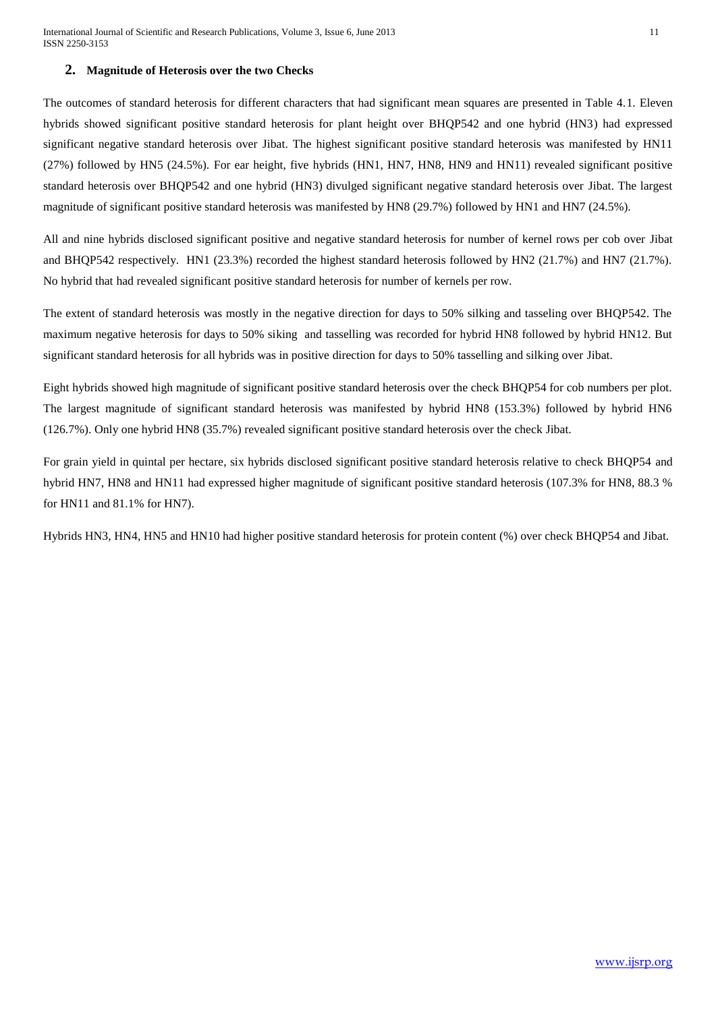# **2. Magnitude of Heterosis over the two Checks**

The outcomes of standard heterosis for different characters that had significant mean squares are presented in Table 4.1. Eleven hybrids showed significant positive standard heterosis for plant height over BHQP542 and one hybrid (HN3) had expressed significant negative standard heterosis over Jibat. The highest significant positive standard heterosis was manifested by HN11 (27%) followed by HN5 (24.5%). For ear height, five hybrids (HN1, HN7, HN8, HN9 and HN11) revealed significant positive standard heterosis over BHQP542 and one hybrid (HN3) divulged significant negative standard heterosis over Jibat. The largest magnitude of significant positive standard heterosis was manifested by HN8 (29.7%) followed by HN1 and HN7 (24.5%).

All and nine hybrids disclosed significant positive and negative standard heterosis for number of kernel rows per cob over Jibat and BHQP542 respectively. HN1 (23.3%) recorded the highest standard heterosis followed by HN2 (21.7%) and HN7 (21.7%). No hybrid that had revealed significant positive standard heterosis for number of kernels per row.

The extent of standard heterosis was mostly in the negative direction for days to 50% silking and tasseling over BHQP542. The maximum negative heterosis for days to 50% siking and tasselling was recorded for hybrid HN8 followed by hybrid HN12. But significant standard heterosis for all hybrids was in positive direction for days to 50% tasselling and silking over Jibat.

Eight hybrids showed high magnitude of significant positive standard heterosis over the check BHQP54 for cob numbers per plot. The largest magnitude of significant standard heterosis was manifested by hybrid HN8 (153.3%) followed by hybrid HN6 (126.7%). Only one hybrid HN8 (35.7%) revealed significant positive standard heterosis over the check Jibat.

For grain yield in quintal per hectare, six hybrids disclosed significant positive standard heterosis relative to check BHQP54 and hybrid HN7, HN8 and HN11 had expressed higher magnitude of significant positive standard heterosis (107.3% for HN8, 88.3 % for HN11 and 81.1% for HN7).

Hybrids HN3, HN4, HN5 and HN10 had higher positive standard heterosis for protein content (%) over check BHQP54 and Jibat.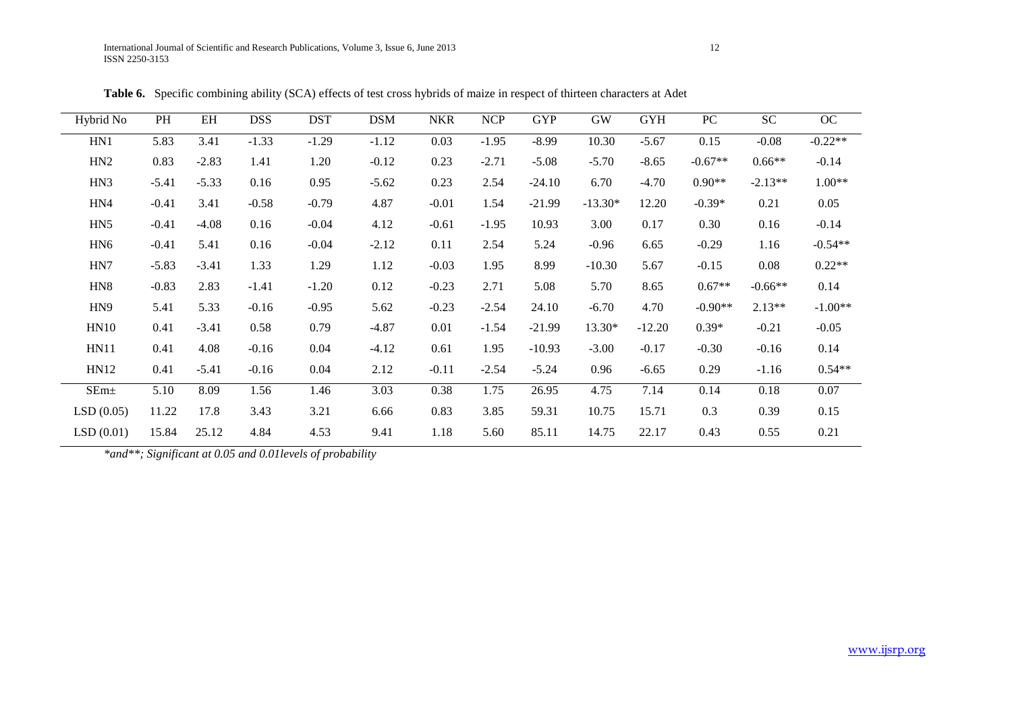| Hybrid No        | PH      | EH      | <b>DSS</b> | <b>DST</b> | <b>DSM</b> | <b>NKR</b> | <b>NCP</b> | <b>GYP</b> | <b>GW</b> | <b>GYH</b> | PC        | <b>SC</b> | OC        |
|------------------|---------|---------|------------|------------|------------|------------|------------|------------|-----------|------------|-----------|-----------|-----------|
| HN1              | 5.83    | 3.41    | $-1.33$    | $-1.29$    | $-1.12$    | 0.03       | $-1.95$    | $-8.99$    | 10.30     | $-5.67$    | 0.15      | $-0.08$   | $-0.22**$ |
| HN2              | 0.83    | $-2.83$ | 1.41       | 1.20       | $-0.12$    | 0.23       | $-2.71$    | $-5.08$    | $-5.70$   | $-8.65$    | $-0.67**$ | $0.66**$  | $-0.14$   |
| HN3              | $-5.41$ | $-5.33$ | 0.16       | 0.95       | $-5.62$    | 0.23       | 2.54       | $-24.10$   | 6.70      | $-4.70$    | $0.90**$  | $-2.13**$ | $1.00**$  |
| HN4              | $-0.41$ | 3.41    | $-0.58$    | $-0.79$    | 4.87       | $-0.01$    | 1.54       | $-21.99$   | $-13.30*$ | 12.20      | $-0.39*$  | 0.21      | 0.05      |
| HN5              | $-0.41$ | $-4.08$ | 0.16       | $-0.04$    | 4.12       | $-0.61$    | $-1.95$    | 10.93      | 3.00      | 0.17       | 0.30      | 0.16      | $-0.14$   |
| HN <sub>6</sub>  | $-0.41$ | 5.41    | 0.16       | $-0.04$    | $-2.12$    | 0.11       | 2.54       | 5.24       | $-0.96$   | 6.65       | $-0.29$   | 1.16      | $-0.54**$ |
| HN7              | $-5.83$ | $-3.41$ | 1.33       | 1.29       | 1.12       | $-0.03$    | 1.95       | 8.99       | $-10.30$  | 5.67       | $-0.15$   | 0.08      | $0.22**$  |
| HN <sub>8</sub>  | $-0.83$ | 2.83    | $-1.41$    | $-1.20$    | 0.12       | $-0.23$    | 2.71       | 5.08       | 5.70      | 8.65       | $0.67**$  | $-0.66**$ | 0.14      |
| HN <sub>9</sub>  | 5.41    | 5.33    | $-0.16$    | $-0.95$    | 5.62       | $-0.23$    | $-2.54$    | 24.10      | $-6.70$   | 4.70       | $-0.90**$ | $2.13**$  | $-1.00**$ |
| <b>HN10</b>      | 0.41    | $-3.41$ | 0.58       | 0.79       | $-4.87$    | 0.01       | $-1.54$    | $-21.99$   | 13.30*    | $-12.20$   | $0.39*$   | $-0.21$   | $-0.05$   |
| <b>HN11</b>      | 0.41    | 4.08    | $-0.16$    | 0.04       | $-4.12$    | 0.61       | 1.95       | $-10.93$   | $-3.00$   | $-0.17$    | $-0.30$   | $-0.16$   | 0.14      |
| <b>HN12</b>      | 0.41    | $-5.41$ | $-0.16$    | 0.04       | 2.12       | $-0.11$    | $-2.54$    | $-5.24$    | 0.96      | $-6.65$    | 0.29      | $-1.16$   | $0.54**$  |
| SEm <sub>±</sub> | 5.10    | 8.09    | 1.56       | 1.46       | 3.03       | 0.38       | 1.75       | 26.95      | 4.75      | 7.14       | 0.14      | 0.18      | 0.07      |
| LSD(0.05)        | 11.22   | 17.8    | 3.43       | 3.21       | 6.66       | 0.83       | 3.85       | 59.31      | 10.75     | 15.71      | 0.3       | 0.39      | 0.15      |
| LSD(0.01)        | 15.84   | 25.12   | 4.84       | 4.53       | 9.41       | 1.18       | 5.60       | 85.11      | 14.75     | 22.17      | 0.43      | 0.55      | 0.21      |

**Table 6.** Specific combining ability (SCA) effects of test cross hybrids of maize in respect of thirteen characters at Adet

*\*and\*\*; Significant at 0.05 and 0.01levels of probability*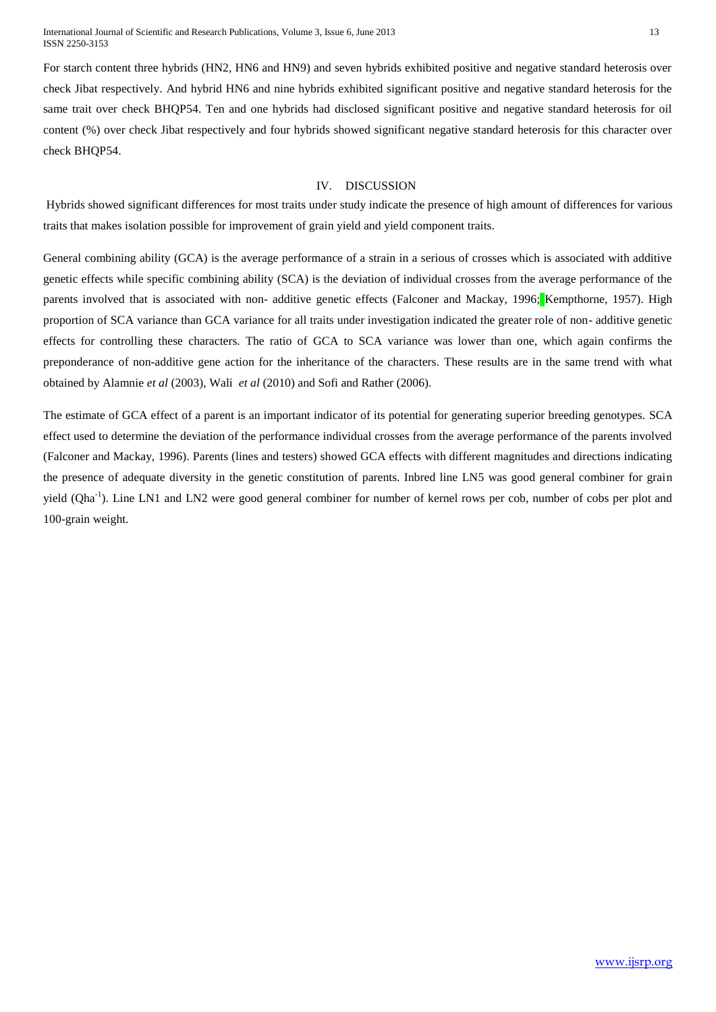For starch content three hybrids (HN2, HN6 and HN9) and seven hybrids exhibited positive and negative standard heterosis over check Jibat respectively. And hybrid HN6 and nine hybrids exhibited significant positive and negative standard heterosis for the same trait over check BHQP54. Ten and one hybrids had disclosed significant positive and negative standard heterosis for oil content (%) over check Jibat respectively and four hybrids showed significant negative standard heterosis for this character over check BHQP54.

# IV. DISCUSSION

Hybrids showed significant differences for most traits under study indicate the presence of high amount of differences for various traits that makes isolation possible for improvement of grain yield and yield component traits.

General combining ability (GCA) is the average performance of a strain in a serious of crosses which is associated with additive genetic effects while specific combining ability (SCA) is the deviation of individual crosses from the average performance of the parents involved that is associated with non- additive genetic effects (Falconer and Mackay, 1996; Kempthorne, 1957). High proportion of SCA variance than GCA variance for all traits under investigation indicated the greater role of non- additive genetic effects for controlling these characters. The ratio of GCA to SCA variance was lower than one, which again confirms the preponderance of non-additive gene action for the inheritance of the characters. These results are in the same trend with what obtained by Alamnie *et al* (2003), Wali *et al* (2010) and Sofi and Rather (2006).

The estimate of GCA effect of a parent is an important indicator of its potential for generating superior breeding genotypes. SCA effect used to determine the deviation of the performance individual crosses from the average performance of the parents involved (Falconer and Mackay, 1996). Parents (lines and testers) showed GCA effects with different magnitudes and directions indicating the presence of adequate diversity in the genetic constitution of parents. Inbred line LN5 was good general combiner for grain yield (Qha<sup>-1</sup>). Line LN1 and LN2 were good general combiner for number of kernel rows per cob, number of cobs per plot and 100-grain weight.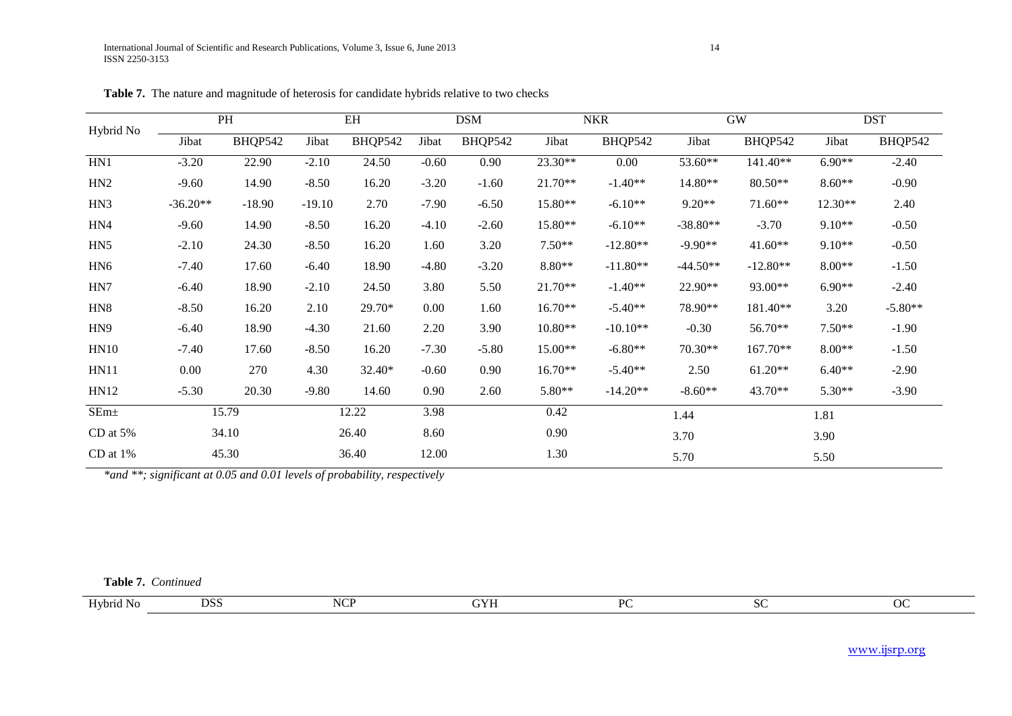| Hybrid No        |            | PH       |          | EH      |         | <b>DSM</b> |           | <b>NKR</b> | <b>GW</b>  |            |          | <b>DST</b> |
|------------------|------------|----------|----------|---------|---------|------------|-----------|------------|------------|------------|----------|------------|
|                  | Jibat      | BHQP542  | Jibat    | BHQP542 | Jibat   | BHQP542    | Jibat     | BHQP542    | Jibat      | BHQP542    | Jibat    | BHQP542    |
| HN1              | $-3.20$    | 22.90    | $-2.10$  | 24.50   | $-0.60$ | 0.90       | 23.30**   | $0.00\,$   | 53.60**    | $141.40**$ | $6.90**$ | $-2.40$    |
| HN2              | $-9.60$    | 14.90    | $-8.50$  | 16.20   | $-3.20$ | $-1.60$    | $21.70**$ | $-1.40**$  | 14.80**    | 80.50**    | $8.60**$ | $-0.90$    |
| HN <sub>3</sub>  | $-36.20**$ | $-18.90$ | $-19.10$ | 2.70    | $-7.90$ | $-6.50$    | 15.80**   | $-6.10**$  | $9.20**$   | $71.60**$  | 12.30**  | 2.40       |
| HN4              | $-9.60$    | 14.90    | $-8.50$  | 16.20   | $-4.10$ | $-2.60$    | 15.80**   | $-6.10**$  | $-38.80**$ | $-3.70$    | $9.10**$ | $-0.50$    |
| HN <sub>5</sub>  | $-2.10$    | 24.30    | $-8.50$  | 16.20   | 1.60    | 3.20       | $7.50**$  | $-12.80**$ | $-9.90**$  | $41.60**$  | $9.10**$ | $-0.50$    |
| HN <sub>6</sub>  | $-7.40$    | 17.60    | $-6.40$  | 18.90   | -4.80   | $-3.20$    | $8.80**$  | $-11.80**$ | $-44.50**$ | $-12.80**$ | $8.00**$ | $-1.50$    |
| HN7              | $-6.40$    | 18.90    | $-2.10$  | 24.50   | 3.80    | 5.50       | $21.70**$ | $-1.40**$  | 22.90**    | 93.00**    | $6.90**$ | $-2.40$    |
| HN <sub>8</sub>  | $-8.50$    | 16.20    | 2.10     | 29.70*  | 0.00    | 1.60       | $16.70**$ | $-5.40**$  | 78.90**    | 181.40**   | 3.20     | $-5.80**$  |
| HN <sub>9</sub>  | $-6.40$    | 18.90    | $-4.30$  | 21.60   | 2.20    | 3.90       | $10.80**$ | $-10.10**$ | $-0.30$    | 56.70**    | $7.50**$ | $-1.90$    |
| HN10             | $-7.40$    | 17.60    | $-8.50$  | 16.20   | $-7.30$ | $-5.80$    | 15.00**   | $-6.80**$  | $70.30**$  | $167.70**$ | $8.00**$ | $-1.50$    |
| <b>HN11</b>      | 0.00       | 270      | 4.30     | 32.40*  | $-0.60$ | 0.90       | $16.70**$ | $-5.40**$  | 2.50       | $61.20**$  | $6.40**$ | $-2.90$    |
| <b>HN12</b>      | $-5.30$    | 20.30    | $-9.80$  | 14.60   | 0.90    | 2.60       | 5.80**    | $-14.20**$ | $-8.60**$  | 43.70**    | 5.30**   | $-3.90$    |
| SEm <sub>±</sub> |            | 15.79    |          | 12.22   | 3.98    |            | 0.42      |            | 1.44       |            | 1.81     |            |
| CD at 5%         |            | 34.10    |          | 26.40   | 8.60    |            | 0.90      |            | 3.70       |            | 3.90     |            |
| CD at $1\%$      |            | 45.30    |          | 36.40   | 12.00   |            | 1.30      |            | 5.70       |            | 5.50     |            |

**Table 7.** The nature and magnitude of heterosis for candidate hybrids relative to two checks

*\*and \*\*; significant at 0.05 and 0.01 levels of probability, respectively*

**Table 7.** *Continued*

| $T$ $T$ $T$<br>Hvbru.<br>-No | ، ۲۵۴<br>,,,, | <b>NCP</b> | . | DC | 0 N |
|------------------------------|---------------|------------|---|----|-----|

www.ijsrp.org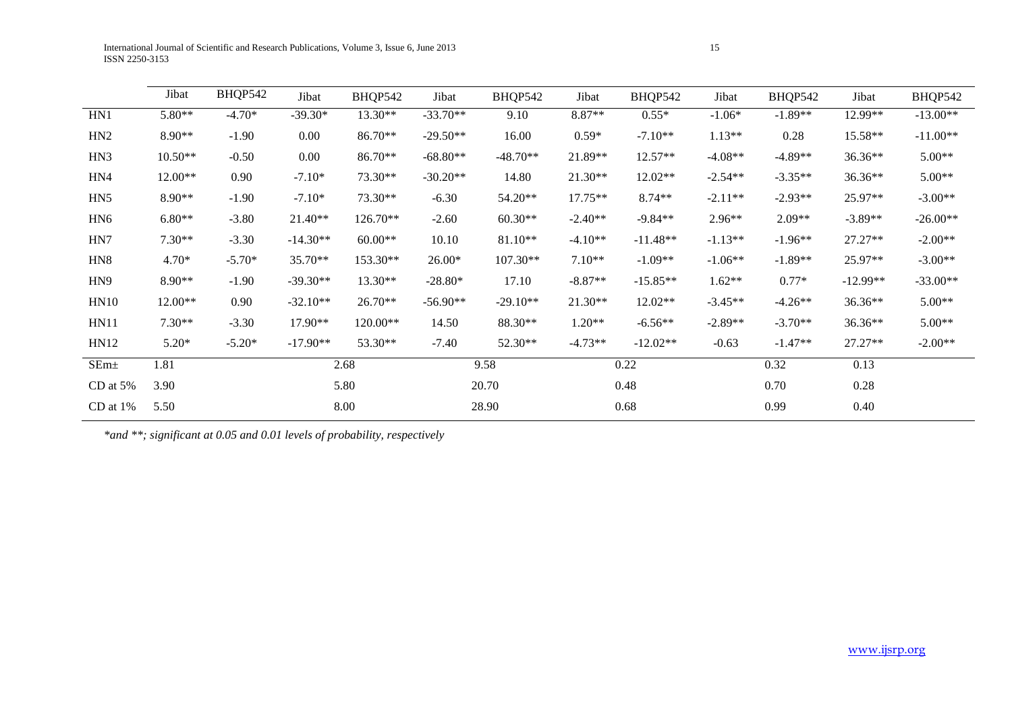|                  | Jibat        | BHQP542  | Jibat      | BHQP542   | Jibat      | BHQP542    | Jibat     | BHQP542    | Jibat     | BHQP542   | Jibat      | BHQP542    |
|------------------|--------------|----------|------------|-----------|------------|------------|-----------|------------|-----------|-----------|------------|------------|
| HN1              | $5.80**$     | $-4.70*$ | $-39.30*$  | 13.30**   | $-33.70**$ | 9.10       | 8.87**    | $0.55*$    | $-1.06*$  | $-1.89**$ | 12.99**    | $-13.00**$ |
| HN <sub>2</sub>  | 8.90**       | $-1.90$  | 0.00       | 86.70**   | $-29.50**$ | 16.00      | $0.59*$   | $-7.10**$  | $1.13**$  | 0.28      | 15.58**    | $-11.00**$ |
| HN3              | $10.50**$    | $-0.50$  | 0.00       | 86.70**   | $-68.80**$ | $-48.70**$ | 21.89**   | 12.57**    | $-4.08**$ | $-4.89**$ | 36.36**    | $5.00**$   |
| HN4              | 12.00**      | 0.90     | $-7.10*$   | 73.30**   | $-30.20**$ | 14.80      | 21.30**   | 12.02**    | $-2.54**$ | $-3.35**$ | 36.36**    | $5.00**$   |
| HN5              | $8.90**$     | $-1.90$  | $-7.10*$   | 73.30**   | $-6.30$    | 54.20**    | $17.75**$ | $8.74**$   | $-2.11**$ | $-2.93**$ | 25.97**    | $-3.00**$  |
| HN <sub>6</sub>  | $6.80**$     | $-3.80$  | 21.40**    | 126.70**  | $-2.60$    | $60.30**$  | $-2.40**$ | $-9.84**$  | 2.96**    | $2.09**$  | $-3.89**$  | $-26.00**$ |
| HN7              | $7.30**$     | $-3.30$  | $-14.30**$ | $60.00**$ | 10.10      | 81.10**    | $-4.10**$ | $-11.48**$ | $-1.13**$ | $-1.96**$ | $27.27**$  | $-2.00**$  |
| HN <sub>8</sub>  | $4.70*$      | $-5.70*$ | 35.70**    | 153.30**  | $26.00*$   | 107.30**   | $7.10**$  | $-1.09**$  | $-1.06**$ | $-1.89**$ | 25.97**    | $-3.00**$  |
| HN <sub>9</sub>  | 8.90**       | $-1.90$  | $-39.30**$ | 13.30**   | $-28.80*$  | 17.10      | $-8.87**$ | $-15.85**$ | $1.62**$  | $0.77*$   | $-12.99**$ | $-33.00**$ |
| HN10             | 12.00**      | 0.90     | $-32.10**$ | 26.70**   | $-56.90**$ | $-29.10**$ | 21.30**   | 12.02**    | $-3.45**$ | $-4.26**$ | 36.36**    | $5.00**$   |
| <b>HN11</b>      | $7.30**$     | $-3.30$  | 17.90**    | 120.00**  | 14.50      | 88.30**    | $1.20**$  | $-6.56**$  | $-2.89**$ | $-3.70**$ | 36.36**    | $5.00**$   |
| HN12             | $5.20*$      | $-5.20*$ | $-17.90**$ | 53.30**   | $-7.40$    | 52.30**    | $-4.73**$ | $-12.02**$ | $-0.63$   | $-1.47**$ | $27.27**$  | $-2.00**$  |
| SEm <sub>±</sub> | 1.81         |          | 2.68       |           | 9.58       |            | 0.22      |            | 0.32      |           | 0.13       |            |
| CD at $5%$       | 3.90         | 5.80     |            |           | 20.70      |            | 0.48      |            | 0.70      |           | 0.28       |            |
| CD at 1%         | 5.50<br>8.00 |          |            | 28.90     |            | 0.68       |           | 0.99       |           | 0.40      |            |            |

*\*and \*\*; significant at 0.05 and 0.01 levels of probability, respectively*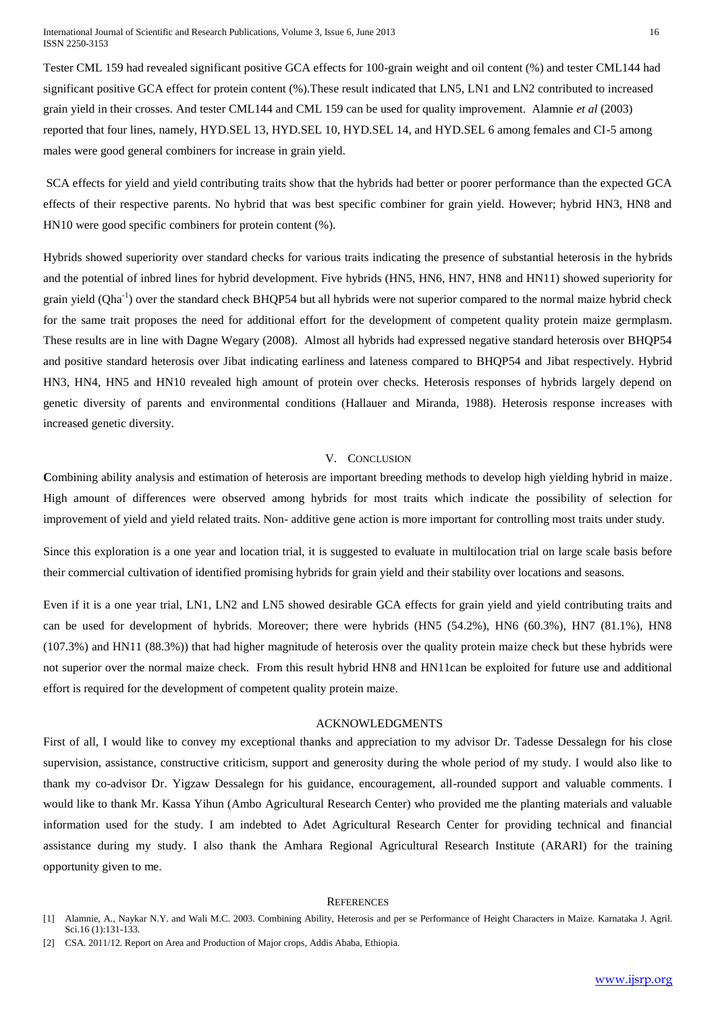Tester CML 159 had revealed significant positive GCA effects for 100-grain weight and oil content (%) and tester CML144 had significant positive GCA effect for protein content (%).These result indicated that LN5, LN1 and LN2 contributed to increased grain yield in their crosses. And tester CML144 and CML 159 can be used for quality improvement. Alamnie *et al* (2003) reported that four lines, namely, HYD.SEL 13, HYD.SEL 10, HYD.SEL 14, and HYD.SEL 6 among females and CI-5 among males were good general combiners for increase in grain yield.

SCA effects for yield and yield contributing traits show that the hybrids had better or poorer performance than the expected GCA effects of their respective parents. No hybrid that was best specific combiner for grain yield. However; hybrid HN3, HN8 and HN10 were good specific combiners for protein content (%).

Hybrids showed superiority over standard checks for various traits indicating the presence of substantial heterosis in the hybrids and the potential of inbred lines for hybrid development. Five hybrids (HN5, HN6, HN7, HN8 and HN11) showed superiority for grain yield (Qha<sup>-1</sup>) over the standard check BHQP54 but all hybrids were not superior compared to the normal maize hybrid check for the same trait proposes the need for additional effort for the development of competent quality protein maize germplasm. These results are in line with Dagne Wegary (2008). Almost all hybrids had expressed negative standard heterosis over BHQP54 and positive standard heterosis over Jibat indicating earliness and lateness compared to BHQP54 and Jibat respectively. Hybrid HN3, HN4, HN5 and HN10 revealed high amount of protein over checks. Heterosis responses of hybrids largely depend on genetic diversity of parents and environmental conditions (Hallauer and Miranda, 1988). Heterosis response increases with increased genetic diversity.

#### V. CONCLUSION

**C**ombining ability analysis and estimation of heterosis are important breeding methods to develop high yielding hybrid in maize. High amount of differences were observed among hybrids for most traits which indicate the possibility of selection for improvement of yield and yield related traits. Non- additive gene action is more important for controlling most traits under study.

Since this exploration is a one year and location trial, it is suggested to evaluate in multilocation trial on large scale basis before their commercial cultivation of identified promising hybrids for grain yield and their stability over locations and seasons.

Even if it is a one year trial, LN1, LN2 and LN5 showed desirable GCA effects for grain yield and yield contributing traits and can be used for development of hybrids. Moreover; there were hybrids (HN5 (54.2%), HN6 (60.3%), HN7 (81.1%), HN8 (107.3%) and HN11 (88.3%)) that had higher magnitude of heterosis over the quality protein maize check but these hybrids were not superior over the normal maize check. From this result hybrid HN8 and HN11can be exploited for future use and additional effort is required for the development of competent quality protein maize.

#### ACKNOWLEDGMENTS

First of all, I would like to convey my exceptional thanks and appreciation to my advisor Dr. Tadesse Dessalegn for his close supervision, assistance, constructive criticism, support and generosity during the whole period of my study. I would also like to thank my co-advisor Dr. Yigzaw Dessalegn for his guidance, encouragement, all-rounded support and valuable comments. I would like to thank Mr. Kassa Yihun (Ambo Agricultural Research Center) who provided me the planting materials and valuable information used for the study. I am indebted to Adet Agricultural Research Center for providing technical and financial assistance during my study. I also thank the Amhara Regional Agricultural Research Institute (ARARI) for the training opportunity given to me.

#### **REFERENCES**

<sup>[1]</sup> Alamnie, A., Naykar N.Y. and Wali M.C. 2003. Combining Ability, Heterosis and per se Performance of Height Characters in Maize. Karnataka J. Agril. Sci.16 (1):131-133.

<sup>[2]</sup> CSA. 2011/12. Report on Area and Production of Major crops, Addis Ababa, Ethiopia.